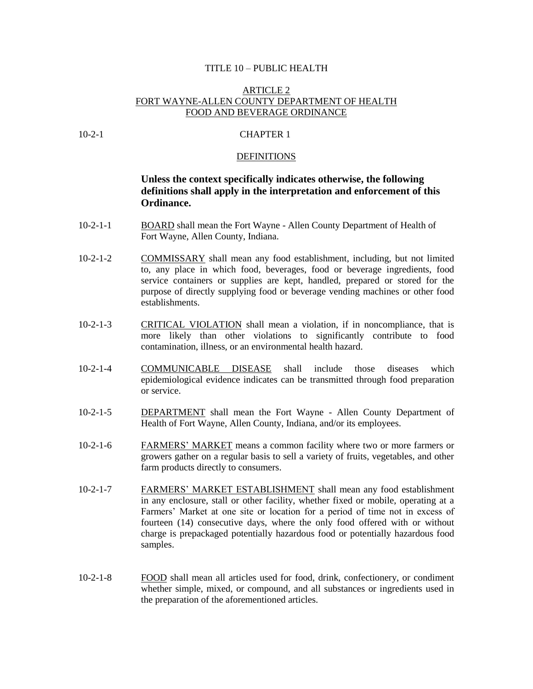## TITLE 10 – PUBLIC HEALTH

# ARTICLE 2 FORT WAYNE-ALLEN COUNTY DEPARTMENT OF HEALTH FOOD AND BEVERAGE ORDINANCE

# 10-2-1 CHAPTER 1

## DEFINITIONS

# **Unless the context specifically indicates otherwise, the following definitions shall apply in the interpretation and enforcement of this Ordinance.**

- 10-2-1-1 BOARD shall mean the Fort Wayne Allen County Department of Health of Fort Wayne, Allen County, Indiana.
- 10-2-1-2 COMMISSARY shall mean any food establishment, including, but not limited to, any place in which food, beverages, food or beverage ingredients, food service containers or supplies are kept, handled, prepared or stored for the purpose of directly supplying food or beverage vending machines or other food establishments.
- 10-2-1-3 CRITICAL VIOLATION shall mean a violation, if in noncompliance, that is more likely than other violations to significantly contribute to food contamination, illness, or an environmental health hazard.
- 10-2-1-4 COMMUNICABLE DISEASE shall include those diseases which epidemiological evidence indicates can be transmitted through food preparation or service.
- 10-2-1-5 DEPARTMENT shall mean the Fort Wayne Allen County Department of Health of Fort Wayne, Allen County, Indiana, and/or its employees.
- 10-2-1-6 FARMERS' MARKET means a common facility where two or more farmers or growers gather on a regular basis to sell a variety of fruits, vegetables, and other farm products directly to consumers.
- 10-2-1-7 FARMERS' MARKET ESTABLISHMENT shall mean any food establishment in any enclosure, stall or other facility, whether fixed or mobile, operating at a Farmers' Market at one site or location for a period of time not in excess of fourteen (14) consecutive days, where the only food offered with or without charge is prepackaged potentially hazardous food or potentially hazardous food samples.
- 10-2-1-8 FOOD shall mean all articles used for food, drink, confectionery, or condiment whether simple, mixed, or compound, and all substances or ingredients used in the preparation of the aforementioned articles.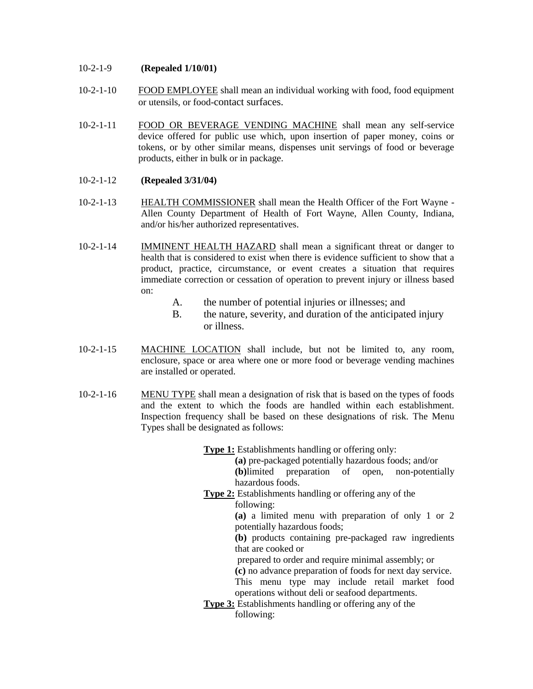# 10-2-1-9 **(Repealed 1/10/01)**

- 10-2-1-10 FOOD EMPLOYEE shall mean an individual working with food, food equipment or utensils, or food-contact surfaces.
- 10-2-1-11 FOOD OR BEVERAGE VENDING MACHINE shall mean any self-service device offered for public use which, upon insertion of paper money, coins or tokens, or by other similar means, dispenses unit servings of food or beverage products, either in bulk or in package.

# 10-2-1-12 **(Repealed 3/31/04)**

- 10-2-1-13 HEALTH COMMISSIONER shall mean the Health Officer of the Fort Wayne Allen County Department of Health of Fort Wayne, Allen County, Indiana, and/or his/her authorized representatives.
- 10-2-1-14 IMMINENT HEALTH HAZARD shall mean a significant threat or danger to health that is considered to exist when there is evidence sufficient to show that a product, practice, circumstance, or event creates a situation that requires immediate correction or cessation of operation to prevent injury or illness based on:
	- A. the number of potential injuries or illnesses; and
	- B. the nature, severity, and duration of the anticipated injury or illness.
- 10-2-1-15 MACHINE LOCATION shall include, but not be limited to, any room, enclosure, space or area where one or more food or beverage vending machines are installed or operated.
- 10-2-1-16 MENU TYPE shall mean a designation of risk that is based on the types of foods and the extent to which the foods are handled within each establishment. Inspection frequency shall be based on these designations of risk. The Menu Types shall be designated as follows:

**Type 1:** Establishments handling or offering only:

**(a)** pre-packaged potentially hazardous foods; and/or

**(b)**limited preparation of open, non-potentially hazardous foods.

**Type 2:** Establishments handling or offering any of the following:

> **(a)** a limited menu with preparation of only 1 or 2 potentially hazardous foods;

> **(b)** products containing pre-packaged raw ingredients that are cooked or

prepared to order and require minimal assembly; or

**(c)** no advance preparation of foods for next day service.

This menu type may include retail market food operations without deli or seafood departments.

**Type 3:** Establishments handling or offering any of the following: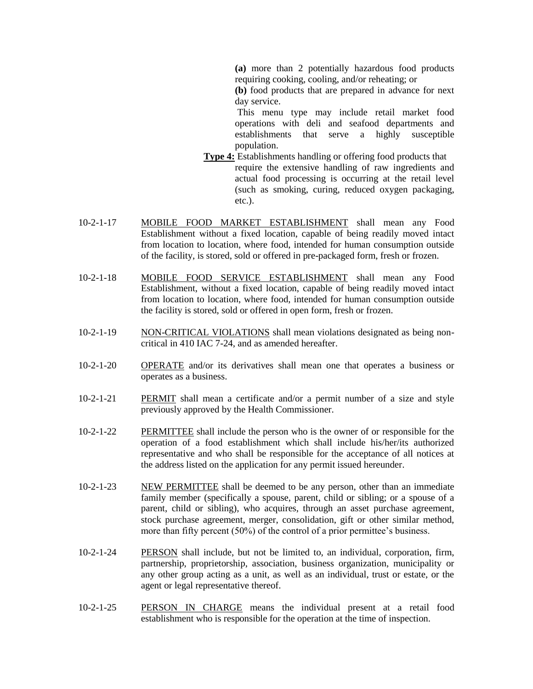**(a)** more than 2 potentially hazardous food products requiring cooking, cooling, and/or reheating; or

**(b)** food products that are prepared in advance for next day service.

This menu type may include retail market food operations with deli and seafood departments and establishments that serve a highly susceptible population.

- **Type 4:** Establishments handling or offering food products that require the extensive handling of raw ingredients and actual food processing is occurring at the retail level (such as smoking, curing, reduced oxygen packaging, etc.).
- 10-2-1-17 MOBILE FOOD MARKET ESTABLISHMENT shall mean any Food Establishment without a fixed location, capable of being readily moved intact from location to location, where food, intended for human consumption outside of the facility, is stored, sold or offered in pre-packaged form, fresh or frozen.
- 10-2-1-18 MOBILE FOOD SERVICE ESTABLISHMENT shall mean any Food Establishment, without a fixed location, capable of being readily moved intact from location to location, where food, intended for human consumption outside the facility is stored, sold or offered in open form, fresh or frozen.
- 10-2-1-19 NON-CRITICAL VIOLATIONS shall mean violations designated as being noncritical in 410 IAC 7-24, and as amended hereafter.
- 10-2-1-20 OPERATE and/or its derivatives shall mean one that operates a business or operates as a business.
- 10-2-1-21 PERMIT shall mean a certificate and/or a permit number of a size and style previously approved by the Health Commissioner.
- 10-2-1-22 PERMITTEE shall include the person who is the owner of or responsible for the operation of a food establishment which shall include his/her/its authorized representative and who shall be responsible for the acceptance of all notices at the address listed on the application for any permit issued hereunder.
- 10-2-1-23 NEW PERMITTEE shall be deemed to be any person, other than an immediate family member (specifically a spouse, parent, child or sibling; or a spouse of a parent, child or sibling), who acquires, through an asset purchase agreement, stock purchase agreement, merger, consolidation, gift or other similar method, more than fifty percent (50%) of the control of a prior permittee's business.
- 10-2-1-24 PERSON shall include, but not be limited to, an individual, corporation, firm, partnership, proprietorship, association, business organization, municipality or any other group acting as a unit, as well as an individual, trust or estate, or the agent or legal representative thereof.
- 10-2-1-25 PERSON IN CHARGE means the individual present at a retail food establishment who is responsible for the operation at the time of inspection.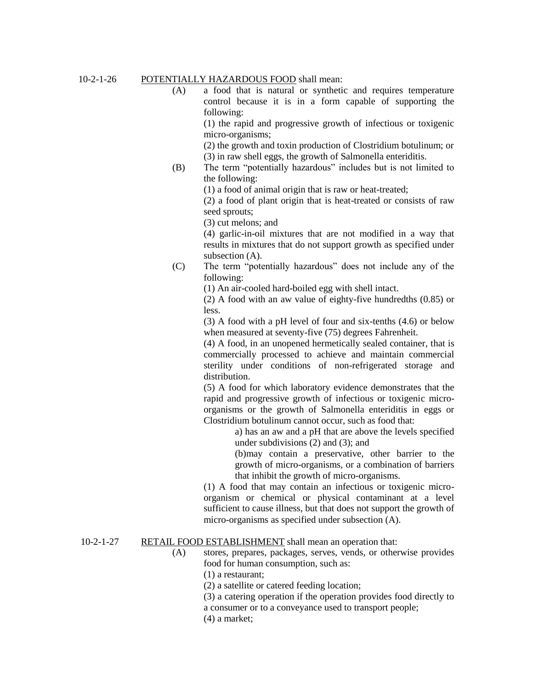# 10-2-1-26 POTENTIALLY HAZARDOUS FOOD shall mean:

(A) a food that is natural or synthetic and requires temperature control because it is in a form capable of supporting the following:

> (1) the rapid and progressive growth of infectious or toxigenic micro-organisms;

(2) the growth and toxin production of Clostridium botulinum; or (3) in raw shell eggs, the growth of Salmonella enteriditis.

(B) The term "potentially hazardous" includes but is not limited to the following:

(1) a food of animal origin that is raw or heat-treated;

(2) a food of plant origin that is heat-treated or consists of raw seed sprouts;

(3) cut melons; and

(4) garlic-in-oil mixtures that are not modified in a way that results in mixtures that do not support growth as specified under subsection (A).

(C) The term "potentially hazardous" does not include any of the following:

(1) An air-cooled hard-boiled egg with shell intact.

(2) A food with an aw value of eighty-five hundredths (0.85) or less.

(3) A food with a pH level of four and six-tenths (4.6) or below when measured at seventy-five (75) degrees Fahrenheit.

(4) A food, in an unopened hermetically sealed container, that is commercially processed to achieve and maintain commercial sterility under conditions of non-refrigerated storage and distribution.

(5) A food for which laboratory evidence demonstrates that the rapid and progressive growth of infectious or toxigenic microorganisms or the growth of Salmonella enteriditis in eggs or Clostridium botulinum cannot occur, such as food that:

> a) has an aw and a pH that are above the levels specified under subdivisions (2) and (3); and

> (b)may contain a preservative, other barrier to the growth of micro-organisms, or a combination of barriers that inhibit the growth of micro-organisms.

(1) A food that may contain an infectious or toxigenic microorganism or chemical or physical contaminant at a level sufficient to cause illness, but that does not support the growth of micro-organisms as specified under subsection (A).

# 10-2-1-27 RETAIL FOOD ESTABLISHMENT shall mean an operation that:

(A) stores, prepares, packages, serves, vends, or otherwise provides food for human consumption, such as:

(1) a restaurant;

(2) a satellite or catered feeding location;

(3) a catering operation if the operation provides food directly to a consumer or to a conveyance used to transport people;

(4) a market;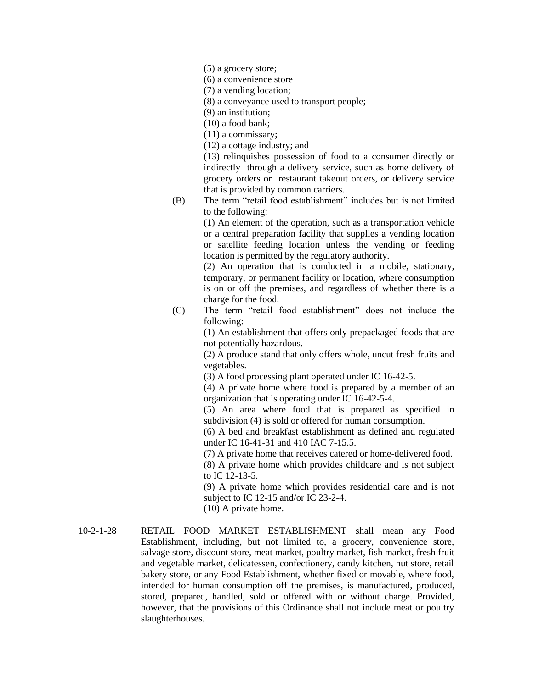(5) a grocery store;

(6) a convenience store

(7) a vending location;

(8) a conveyance used to transport people;

(9) an institution;

(10) a food bank;

(11) a commissary;

(12) a cottage industry; and

(13) relinquishes possession of food to a consumer directly or indirectly through a delivery service, such as home delivery of grocery orders or restaurant takeout orders, or delivery service that is provided by common carriers.

(B) The term "retail food establishment" includes but is not limited to the following:

> (1) An element of the operation, such as a transportation vehicle or a central preparation facility that supplies a vending location or satellite feeding location unless the vending or feeding location is permitted by the regulatory authority.

> (2) An operation that is conducted in a mobile, stationary, temporary, or permanent facility or location, where consumption is on or off the premises, and regardless of whether there is a charge for the food.

(C) The term "retail food establishment" does not include the following:

> (1) An establishment that offers only prepackaged foods that are not potentially hazardous.

> (2) A produce stand that only offers whole, uncut fresh fruits and vegetables.

(3) A food processing plant operated under IC 16-42-5.

(4) A private home where food is prepared by a member of an organization that is operating under IC 16-42-5-4.

(5) An area where food that is prepared as specified in subdivision (4) is sold or offered for human consumption.

(6) A bed and breakfast establishment as defined and regulated under IC 16-41-31 and 410 IAC 7-15.5.

(7) A private home that receives catered or home-delivered food.

(8) A private home which provides childcare and is not subject to IC 12-13-5.

(9) A private home which provides residential care and is not subject to IC 12-15 and/or IC 23-2-4.

(10) A private home.

10-2-1-28 RETAIL FOOD MARKET ESTABLISHMENT shall mean any Food Establishment, including, but not limited to, a grocery, convenience store, salvage store, discount store, meat market, poultry market, fish market, fresh fruit and vegetable market, delicatessen, confectionery, candy kitchen, nut store, retail bakery store, or any Food Establishment, whether fixed or movable, where food, intended for human consumption off the premises, is manufactured, produced, stored, prepared, handled, sold or offered with or without charge. Provided, however, that the provisions of this Ordinance shall not include meat or poultry slaughterhouses.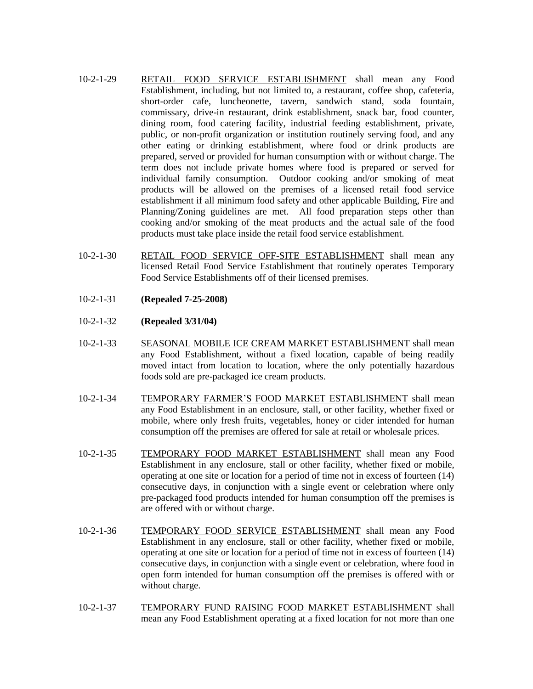- 10-2-1-29 RETAIL FOOD SERVICE ESTABLISHMENT shall mean any Food Establishment, including, but not limited to, a restaurant, coffee shop, cafeteria, short-order cafe, luncheonette, tavern, sandwich stand, soda fountain, commissary, drive-in restaurant, drink establishment, snack bar, food counter, dining room, food catering facility, industrial feeding establishment, private, public, or non-profit organization or institution routinely serving food, and any other eating or drinking establishment, where food or drink products are prepared, served or provided for human consumption with or without charge. The term does not include private homes where food is prepared or served for individual family consumption. Outdoor cooking and/or smoking of meat products will be allowed on the premises of a licensed retail food service establishment if all minimum food safety and other applicable Building, Fire and Planning/Zoning guidelines are met. All food preparation steps other than cooking and/or smoking of the meat products and the actual sale of the food products must take place inside the retail food service establishment.
- 10-2-1-30 RETAIL FOOD SERVICE OFF-SITE ESTABLISHMENT shall mean any licensed Retail Food Service Establishment that routinely operates Temporary Food Service Establishments off of their licensed premises.
- 10-2-1-31 **(Repealed 7-25-2008)**
- 10-2-1-32 **(Repealed 3/31/04)**
- 10-2-1-33 SEASONAL MOBILE ICE CREAM MARKET ESTABLISHMENT shall mean any Food Establishment, without a fixed location, capable of being readily moved intact from location to location, where the only potentially hazardous foods sold are pre-packaged ice cream products.
- 10-2-1-34 TEMPORARY FARMER'S FOOD MARKET ESTABLISHMENT shall mean any Food Establishment in an enclosure, stall, or other facility, whether fixed or mobile, where only fresh fruits, vegetables, honey or cider intended for human consumption off the premises are offered for sale at retail or wholesale prices.
- 10-2-1-35 TEMPORARY FOOD MARKET ESTABLISHMENT shall mean any Food Establishment in any enclosure, stall or other facility, whether fixed or mobile, operating at one site or location for a period of time not in excess of fourteen (14) consecutive days, in conjunction with a single event or celebration where only pre-packaged food products intended for human consumption off the premises is are offered with or without charge.
- 10-2-1-36 TEMPORARY FOOD SERVICE ESTABLISHMENT shall mean any Food Establishment in any enclosure, stall or other facility, whether fixed or mobile, operating at one site or location for a period of time not in excess of fourteen (14) consecutive days, in conjunction with a single event or celebration, where food in open form intended for human consumption off the premises is offered with or without charge.
- 10-2-1-37 TEMPORARY FUND RAISING FOOD MARKET ESTABLISHMENT shall mean any Food Establishment operating at a fixed location for not more than one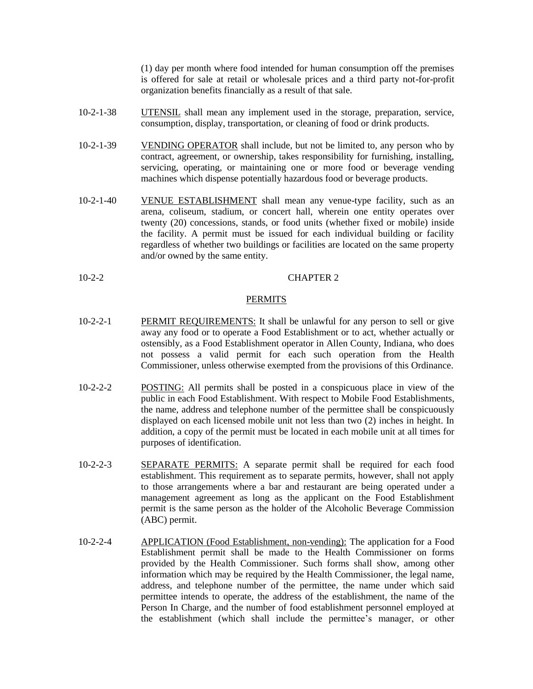(1) day per month where food intended for human consumption off the premises is offered for sale at retail or wholesale prices and a third party not-for-profit organization benefits financially as a result of that sale.

- 10-2-1-38 UTENSIL shall mean any implement used in the storage, preparation, service, consumption, display, transportation, or cleaning of food or drink products.
- 10-2-1-39 VENDING OPERATOR shall include, but not be limited to, any person who by contract, agreement, or ownership, takes responsibility for furnishing, installing, servicing, operating, or maintaining one or more food or beverage vending machines which dispense potentially hazardous food or beverage products.
- 10-2-1-40 VENUE ESTABLISHMENT shall mean any venue-type facility, such as an arena, coliseum, stadium, or concert hall, wherein one entity operates over twenty (20) concessions, stands, or food units (whether fixed or mobile) inside the facility. A permit must be issued for each individual building or facility regardless of whether two buildings or facilities are located on the same property and/or owned by the same entity.
- 10-2-2 CHAPTER 2

## PERMITS

- 10-2-2-1 PERMIT REQUIREMENTS: It shall be unlawful for any person to sell or give away any food or to operate a Food Establishment or to act, whether actually or ostensibly, as a Food Establishment operator in Allen County, Indiana, who does not possess a valid permit for each such operation from the Health Commissioner, unless otherwise exempted from the provisions of this Ordinance.
- 10-2-2-2 POSTING: All permits shall be posted in a conspicuous place in view of the public in each Food Establishment. With respect to Mobile Food Establishments, the name, address and telephone number of the permittee shall be conspicuously displayed on each licensed mobile unit not less than two (2) inches in height. In addition, a copy of the permit must be located in each mobile unit at all times for purposes of identification.
- 10-2-2-3 SEPARATE PERMITS: A separate permit shall be required for each food establishment. This requirement as to separate permits, however, shall not apply to those arrangements where a bar and restaurant are being operated under a management agreement as long as the applicant on the Food Establishment permit is the same person as the holder of the Alcoholic Beverage Commission (ABC) permit.
- 10-2-2-4 APPLICATION (Food Establishment, non-vending): The application for a Food Establishment permit shall be made to the Health Commissioner on forms provided by the Health Commissioner. Such forms shall show, among other information which may be required by the Health Commissioner, the legal name, address, and telephone number of the permittee, the name under which said permittee intends to operate, the address of the establishment, the name of the Person In Charge, and the number of food establishment personnel employed at the establishment (which shall include the permittee's manager, or other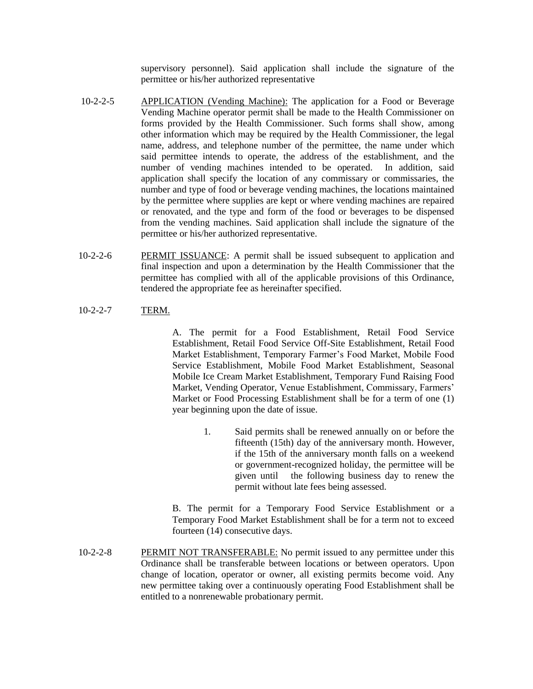supervisory personnel). Said application shall include the signature of the permittee or his/her authorized representative

- 10-2-2-5 APPLICATION (Vending Machine): The application for a Food or Beverage Vending Machine operator permit shall be made to the Health Commissioner on forms provided by the Health Commissioner. Such forms shall show, among other information which may be required by the Health Commissioner, the legal name, address, and telephone number of the permittee, the name under which said permittee intends to operate, the address of the establishment, and the number of vending machines intended to be operated. In addition, said application shall specify the location of any commissary or commissaries, the number and type of food or beverage vending machines, the locations maintained by the permittee where supplies are kept or where vending machines are repaired or renovated, and the type and form of the food or beverages to be dispensed from the vending machines. Said application shall include the signature of the permittee or his/her authorized representative.
- 10-2-2-6 PERMIT ISSUANCE: A permit shall be issued subsequent to application and final inspection and upon a determination by the Health Commissioner that the permittee has complied with all of the applicable provisions of this Ordinance, tendered the appropriate fee as hereinafter specified.
- 10-2-2-7 TERM.

A. The permit for a Food Establishment, Retail Food Service Establishment, Retail Food Service Off-Site Establishment, Retail Food Market Establishment, Temporary Farmer's Food Market, Mobile Food Service Establishment, Mobile Food Market Establishment, Seasonal Mobile Ice Cream Market Establishment, Temporary Fund Raising Food Market, Vending Operator, Venue Establishment, Commissary, Farmers' Market or Food Processing Establishment shall be for a term of one (1) year beginning upon the date of issue.

> 1. Said permits shall be renewed annually on or before the fifteenth (15th) day of the anniversary month. However, if the 15th of the anniversary month falls on a weekend or government-recognized holiday, the permittee will be given until the following business day to renew the permit without late fees being assessed.

B. The permit for a Temporary Food Service Establishment or a Temporary Food Market Establishment shall be for a term not to exceed fourteen (14) consecutive days.

10-2-2-8 PERMIT NOT TRANSFERABLE: No permit issued to any permittee under this Ordinance shall be transferable between locations or between operators. Upon change of location, operator or owner, all existing permits become void. Any new permittee taking over a continuously operating Food Establishment shall be entitled to a nonrenewable probationary permit.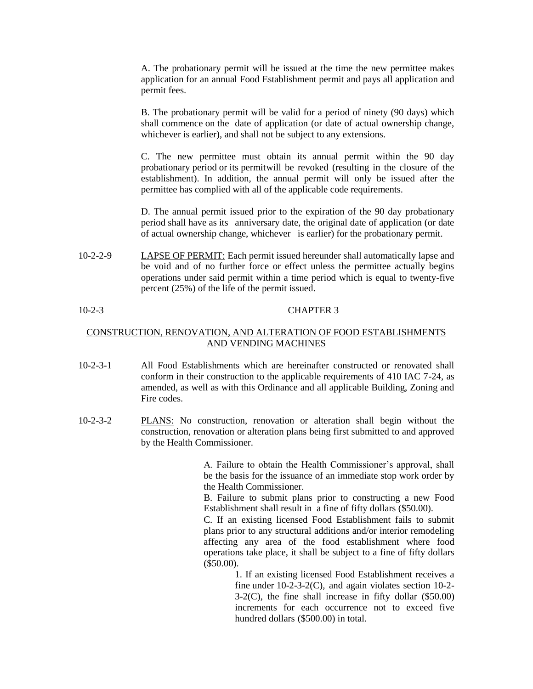A. The probationary permit will be issued at the time the new permittee makes application for an annual Food Establishment permit and pays all application and permit fees.

B. The probationary permit will be valid for a period of ninety (90 days) which shall commence on the date of application (or date of actual ownership change, whichever is earlier), and shall not be subject to any extensions.

C. The new permittee must obtain its annual permit within the 90 day probationary period or its permitwill be revoked (resulting in the closure of the establishment). In addition, the annual permit will only be issued after the permittee has complied with all of the applicable code requirements.

D. The annual permit issued prior to the expiration of the 90 day probationary period shall have as its anniversary date, the original date of application (or date of actual ownership change, whichever is earlier) for the probationary permit.

10-2-2-9 LAPSE OF PERMIT: Each permit issued hereunder shall automatically lapse and be void and of no further force or effect unless the permittee actually begins operations under said permit within a time period which is equal to twenty-five percent (25%) of the life of the permit issued.

# 10-2-3 CHAPTER 3

# CONSTRUCTION, RENOVATION, AND ALTERATION OF FOOD ESTABLISHMENTS AND VENDING MACHINES

- 10-2-3-1 All Food Establishments which are hereinafter constructed or renovated shall conform in their construction to the applicable requirements of 410 IAC 7-24, as amended, as well as with this Ordinance and all applicable Building, Zoning and Fire codes.
- 10-2-3-2 PLANS: No construction, renovation or alteration shall begin without the construction, renovation or alteration plans being first submitted to and approved by the Health Commissioner.

A. Failure to obtain the Health Commissioner's approval, shall be the basis for the issuance of an immediate stop work order by the Health Commissioner.

B. Failure to submit plans prior to constructing a new Food Establishment shall result in a fine of fifty dollars (\$50.00).

C. If an existing licensed Food Establishment fails to submit plans prior to any structural additions and/or interior remodeling affecting any area of the food establishment where food operations take place, it shall be subject to a fine of fifty dollars (\$50.00).

> 1. If an existing licensed Food Establishment receives a fine under 10-2-3-2(C), and again violates section 10-2- 3-2(C), the fine shall increase in fifty dollar (\$50.00) increments for each occurrence not to exceed five hundred dollars (\$500.00) in total.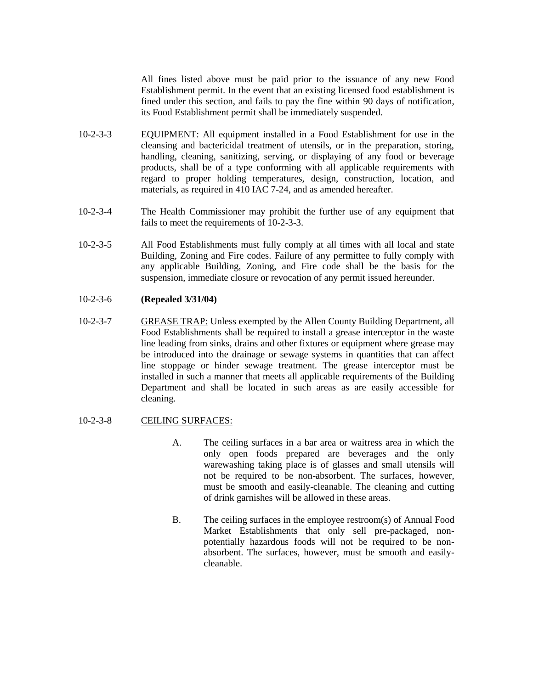All fines listed above must be paid prior to the issuance of any new Food Establishment permit. In the event that an existing licensed food establishment is fined under this section, and fails to pay the fine within 90 days of notification, its Food Establishment permit shall be immediately suspended.

- 10-2-3-3 EQUIPMENT: All equipment installed in a Food Establishment for use in the cleansing and bactericidal treatment of utensils, or in the preparation, storing, handling, cleaning, sanitizing, serving, or displaying of any food or beverage products, shall be of a type conforming with all applicable requirements with regard to proper holding temperatures, design, construction, location, and materials, as required in 410 IAC 7-24, and as amended hereafter.
- 10-2-3-4 The Health Commissioner may prohibit the further use of any equipment that fails to meet the requirements of 10-2-3-3.
- 10-2-3-5 All Food Establishments must fully comply at all times with all local and state Building, Zoning and Fire codes. Failure of any permittee to fully comply with any applicable Building, Zoning, and Fire code shall be the basis for the suspension, immediate closure or revocation of any permit issued hereunder.

# 10-2-3-6 **(Repealed 3/31/04)**

10-2-3-7 GREASE TRAP: Unless exempted by the Allen County Building Department, all Food Establishments shall be required to install a grease interceptor in the waste line leading from sinks, drains and other fixtures or equipment where grease may be introduced into the drainage or sewage systems in quantities that can affect line stoppage or hinder sewage treatment. The grease interceptor must be installed in such a manner that meets all applicable requirements of the Building Department and shall be located in such areas as are easily accessible for cleaning.

## 10-2-3-8 CEILING SURFACES:

- A. The ceiling surfaces in a bar area or waitress area in which the only open foods prepared are beverages and the only warewashing taking place is of glasses and small utensils will not be required to be non-absorbent. The surfaces, however, must be smooth and easily-cleanable. The cleaning and cutting of drink garnishes will be allowed in these areas.
- B. The ceiling surfaces in the employee restroom(s) of Annual Food Market Establishments that only sell pre-packaged, nonpotentially hazardous foods will not be required to be nonabsorbent. The surfaces, however, must be smooth and easilycleanable.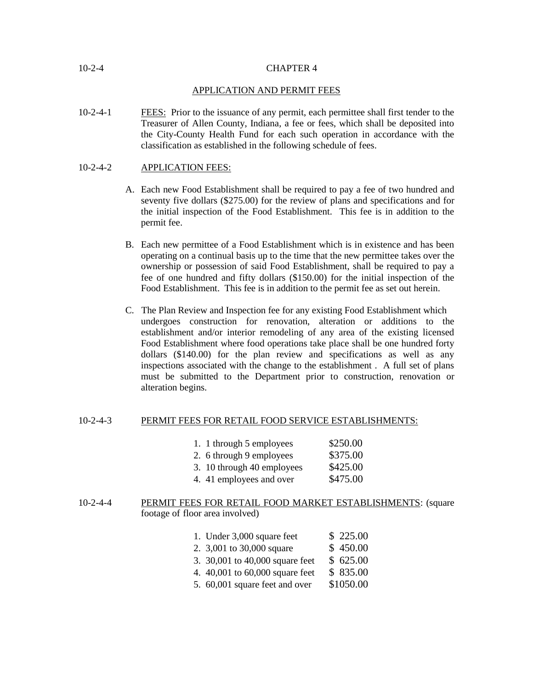## 10-2-4 CHAPTER 4

## APPLICATION AND PERMIT FEES

10-2-4-1 FEES: Prior to the issuance of any permit, each permittee shall first tender to the Treasurer of Allen County, Indiana, a fee or fees, which shall be deposited into the City-County Health Fund for each such operation in accordance with the classification as established in the following schedule of fees.

# 10-2-4-2 APPLICATION FEES:

- A. Each new Food Establishment shall be required to pay a fee of two hundred and seventy five dollars (\$275.00) for the review of plans and specifications and for the initial inspection of the Food Establishment. This fee is in addition to the permit fee.
- B. Each new permittee of a Food Establishment which is in existence and has been operating on a continual basis up to the time that the new permittee takes over the ownership or possession of said Food Establishment, shall be required to pay a fee of one hundred and fifty dollars (\$150.00) for the initial inspection of the Food Establishment. This fee is in addition to the permit fee as set out herein.
- C. The Plan Review and Inspection fee for any existing Food Establishment which undergoes construction for renovation, alteration or additions to the establishment and/or interior remodeling of any area of the existing licensed Food Establishment where food operations take place shall be one hundred forty dollars (\$140.00) for the plan review and specifications as well as any inspections associated with the change to the establishment . A full set of plans must be submitted to the Department prior to construction, renovation or alteration begins.

## 10-2-4-3 PERMIT FEES FOR RETAIL FOOD SERVICE ESTABLISHMENTS:

|  | 1. 1 through 5 employees | \$250.00 |
|--|--------------------------|----------|
|--|--------------------------|----------|

- 2. 6 through 9 employees  $$375.00$
- 3. 10 through 40 employees  $$425.00$
- 4. 41 employees and over \$475.00

# 10-2-4-4 PERMIT FEES FOR RETAIL FOOD MARKET ESTABLISHMENTS: (square footage of floor area involved)

- 1. Under 3,000 square feet \$ 225.00
- 2. 3,001 to 30,000 square \$ 450.00
- 3. 30,001 to 40,000 square feet \$ 625.00
- 4. 40,001 to 60,000 square feet \$ 835.00
- 5. 60,001 square feet and over \$1050.00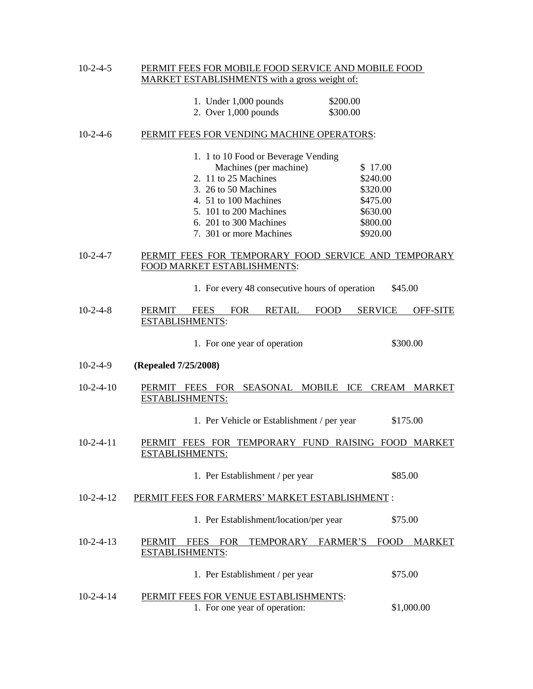## 10-2-4-5 PERMIT FEES FOR MOBILE FOOD SERVICE AND MOBILE FOOD MARKET ESTABLISHMENTS with a gross weight of:

| 1. Under $1,000$ pounds | \$200.00 |
|-------------------------|----------|
| 2. Over $1,000$ pounds  | \$300.00 |

## 10-2-4-6 PERMIT FEES FOR VENDING MACHINE OPERATORS:

| 1. 1 to 10 Food or Beverage Vending |          |
|-------------------------------------|----------|
| Machines (per machine)              | \$17.00  |
| 2. 11 to 25 Machines                | \$240.00 |
| 3. 26 to 50 Machines                | \$320.00 |
| 4. 51 to 100 Machines               | \$475.00 |
| 5. 101 to 200 Machines              | \$630.00 |
| 6. 201 to 300 Machines              | \$800.00 |
| 7. 301 or more Machines             | \$920.00 |

10-2-4-7 PERMIT FEES FOR TEMPORARY FOOD SERVICE AND TEMPORARY FOOD MARKET ESTABLISHMENTS:

1. For every 48 consecutive hours of operation \$45.00

| $10-2-4-8$ | PERMIT                 | <b>FEES</b> | FOR | <b>RETAIL</b> | <b>FOOD</b> | <b>SERVICE</b> | <b>OFF-SITE</b> |
|------------|------------------------|-------------|-----|---------------|-------------|----------------|-----------------|
|            | <b>ESTABLISHMENTS:</b> |             |     |               |             |                |                 |

1. For one year of operation \$300.00

- 10-2-4-9 **(Repealed 7/25/2008)**
- 10-2-4-10 PERMIT FEES FOR SEASONAL MOBILE ICE CREAM MARKET ESTABLISHMENTS:

1. Per Vehicle or Establishment / per year \$175.00

10-2-4-11 PERMIT FEES FOR TEMPORARY FUND RAISING FOOD MARKET ESTABLISHMENTS:

## 1. Per Establishment / per year \$85.00

10-2-4-12 PERMIT FEES FOR FARMERS' MARKET ESTABLISHMENT :

#### 1. Per Establishment/location/per year \$75.00

10-2-4-13 PERMIT FEES FOR TEMPORARY FARMER'S FOOD MARKET ESTABLISHMENTS:

| 1. Per Establishment / per year | \$75.00 |
|---------------------------------|---------|
|---------------------------------|---------|

10-2-4-14 PERMIT FEES FOR VENUE ESTABLISHMENTS: 1. For one year of operation: \$1,000.00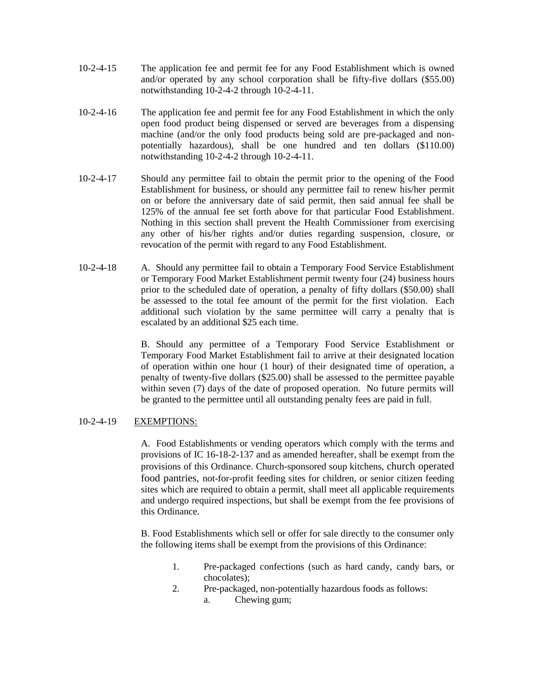- 10-2-4-15 The application fee and permit fee for any Food Establishment which is owned and/or operated by any school corporation shall be fifty-five dollars (\$55.00) notwithstanding 10-2-4-2 through 10-2-4-11.
- 10-2-4-16 The application fee and permit fee for any Food Establishment in which the only open food product being dispensed or served are beverages from a dispensing machine (and/or the only food products being sold are pre-packaged and nonpotentially hazardous), shall be one hundred and ten dollars (\$110.00) notwithstanding 10-2-4-2 through 10-2-4-11.
- 10-2-4-17 Should any permittee fail to obtain the permit prior to the opening of the Food Establishment for business, or should any permittee fail to renew his/her permit on or before the anniversary date of said permit, then said annual fee shall be 125% of the annual fee set forth above for that particular Food Establishment. Nothing in this section shall prevent the Health Commissioner from exercising any other of his/her rights and/or duties regarding suspension, closure, or revocation of the permit with regard to any Food Establishment.
- 10-2-4-18 A. Should any permittee fail to obtain a Temporary Food Service Establishment or Temporary Food Market Establishment permit twenty four (24) business hours prior to the scheduled date of operation, a penalty of fifty dollars (\$50.00) shall be assessed to the total fee amount of the permit for the first violation. Each additional such violation by the same permittee will carry a penalty that is escalated by an additional \$25 each time.

B. Should any permittee of a Temporary Food Service Establishment or Temporary Food Market Establishment fail to arrive at their designated location of operation within one hour (1 hour) of their designated time of operation, a penalty of twenty-five dollars (\$25.00) shall be assessed to the permittee payable within seven (7) days of the date of proposed operation. No future permits will be granted to the permittee until all outstanding penalty fees are paid in full.

# 10-2-4-19 EXEMPTIONS:

A. Food Establishments or vending operators which comply with the terms and provisions of IC 16-18-2-137 and as amended hereafter, shall be exempt from the provisions of this Ordinance. Church-sponsored soup kitchens, church operated food pantries, not-for-profit feeding sites for children, or senior citizen feeding sites which are required to obtain a permit, shall meet all applicable requirements and undergo required inspections, but shall be exempt from the fee provisions of this Ordinance.

B. Food Establishments which sell or offer for sale directly to the consumer only the following items shall be exempt from the provisions of this Ordinance:

- 1. Pre-packaged confections (such as hard candy, candy bars, or chocolates);
- 2. Pre-packaged, non-potentially hazardous foods as follows: a. Chewing gum;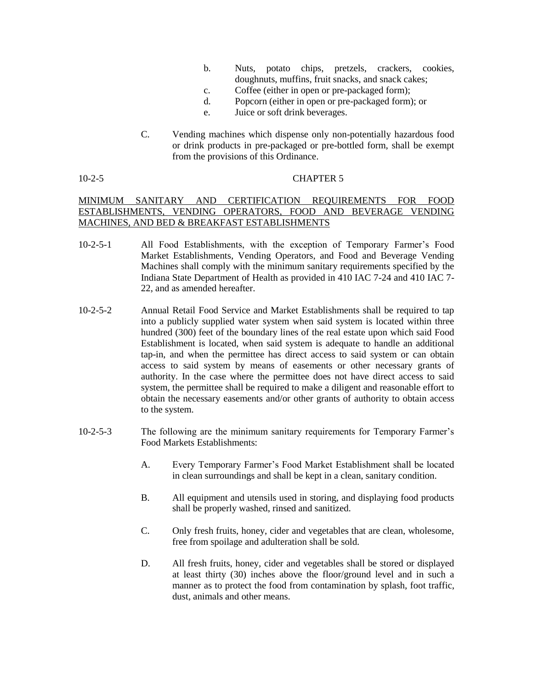- b. Nuts, potato chips, pretzels, crackers, cookies, doughnuts, muffins, fruit snacks, and snack cakes;
- c. Coffee (either in open or pre-packaged form);
- d. Popcorn (either in open or pre-packaged form); or
- e. Juice or soft drink beverages.
- C. Vending machines which dispense only non-potentially hazardous food or drink products in pre-packaged or pre-bottled form, shall be exempt from the provisions of this Ordinance.

# 10-2-5 CHAPTER 5

# MINIMUM SANITARY AND CERTIFICATION REQUIREMENTS FOR FOOD ESTABLISHMENTS, VENDING OPERATORS, FOOD AND BEVERAGE VENDING MACHINES, AND BED & BREAKFAST ESTABLISHMENTS

- 10-2-5-1 All Food Establishments, with the exception of Temporary Farmer's Food Market Establishments, Vending Operators, and Food and Beverage Vending Machines shall comply with the minimum sanitary requirements specified by the Indiana State Department of Health as provided in 410 IAC 7-24 and 410 IAC 7- 22, and as amended hereafter.
- 10-2-5-2 Annual Retail Food Service and Market Establishments shall be required to tap into a publicly supplied water system when said system is located within three hundred (300) feet of the boundary lines of the real estate upon which said Food Establishment is located, when said system is adequate to handle an additional tap-in, and when the permittee has direct access to said system or can obtain access to said system by means of easements or other necessary grants of authority. In the case where the permittee does not have direct access to said system, the permittee shall be required to make a diligent and reasonable effort to obtain the necessary easements and/or other grants of authority to obtain access to the system.
- 10-2-5-3 The following are the minimum sanitary requirements for Temporary Farmer's Food Markets Establishments:
	- A. Every Temporary Farmer's Food Market Establishment shall be located in clean surroundings and shall be kept in a clean, sanitary condition.
	- B. All equipment and utensils used in storing, and displaying food products shall be properly washed, rinsed and sanitized.
	- C. Only fresh fruits, honey, cider and vegetables that are clean, wholesome, free from spoilage and adulteration shall be sold.
	- D. All fresh fruits, honey, cider and vegetables shall be stored or displayed at least thirty (30) inches above the floor/ground level and in such a manner as to protect the food from contamination by splash, foot traffic, dust, animals and other means.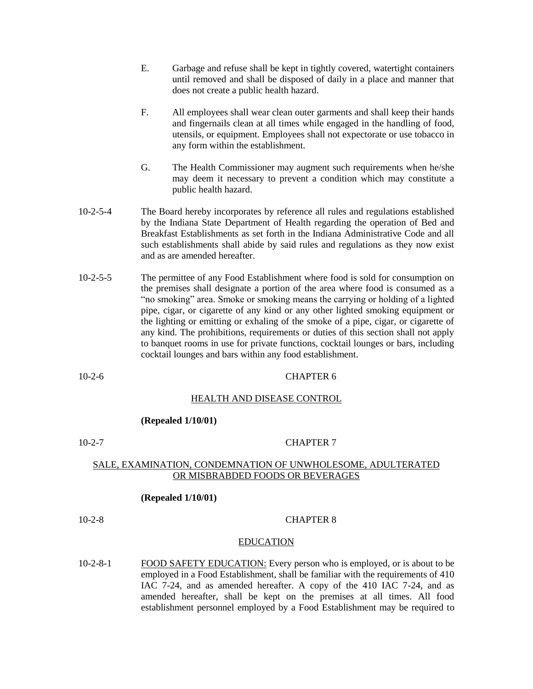- E. Garbage and refuse shall be kept in tightly covered, watertight containers until removed and shall be disposed of daily in a place and manner that does not create a public health hazard.
- F. All employees shall wear clean outer garments and shall keep their hands and fingernails clean at all times while engaged in the handling of food, utensils, or equipment. Employees shall not expectorate or use tobacco in any form within the establishment.
- G. The Health Commissioner may augment such requirements when he/she may deem it necessary to prevent a condition which may constitute a public health hazard.
- 10-2-5-4 The Board hereby incorporates by reference all rules and regulations established by the Indiana State Department of Health regarding the operation of Bed and Breakfast Establishments as set forth in the Indiana Administrative Code and all such establishments shall abide by said rules and regulations as they now exist and as are amended hereafter.
- 10-2-5-5 The permittee of any Food Establishment where food is sold for consumption on the premises shall designate a portion of the area where food is consumed as a "no smoking" area. Smoke or smoking means the carrying or holding of a lighted pipe, cigar, or cigarette of any kind or any other lighted smoking equipment or the lighting or emitting or exhaling of the smoke of a pipe, cigar, or cigarette of any kind. The prohibitions, requirements or duties of this section shall not apply to banquet rooms in use for private functions, cocktail lounges or bars, including cocktail lounges and bars within any food establishment.

## 10-2-6 CHAPTER 6

## HEALTH AND DISEASE CONTROL

#### **(Repealed 1/10/01)**

# 10-2-7 CHAPTER 7

# SALE, EXAMINATION, CONDEMNATION OF UNWHOLESOME, ADULTERATED OR MISBRABDED FOODS OR BEVERAGES

## **(Repealed 1/10/01)**

## 10-2-8 CHAPTER 8

## EDUCATION

10-2-8-1 FOOD SAFETY EDUCATION: Every person who is employed, or is about to be employed in a Food Establishment, shall be familiar with the requirements of 410 IAC 7-24, and as amended hereafter. A copy of the 410 IAC 7-24, and as amended hereafter, shall be kept on the premises at all times. All food establishment personnel employed by a Food Establishment may be required to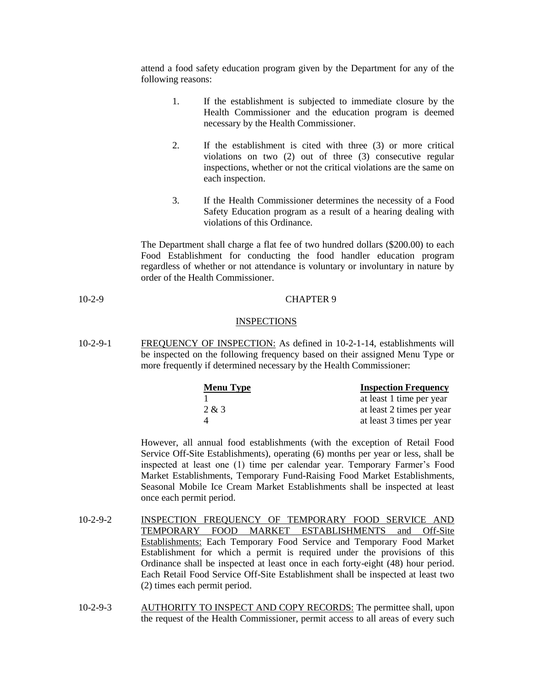attend a food safety education program given by the Department for any of the following reasons:

- 1. If the establishment is subjected to immediate closure by the Health Commissioner and the education program is deemed necessary by the Health Commissioner.
- 2. If the establishment is cited with three (3) or more critical violations on two (2) out of three (3) consecutive regular inspections, whether or not the critical violations are the same on each inspection.
- 3. If the Health Commissioner determines the necessity of a Food Safety Education program as a result of a hearing dealing with violations of this Ordinance.

The Department shall charge a flat fee of two hundred dollars (\$200.00) to each Food Establishment for conducting the food handler education program regardless of whether or not attendance is voluntary or involuntary in nature by order of the Health Commissioner.

10-2-9 CHAPTER 9

### **INSPECTIONS**

10-2-9-1 FREQUENCY OF INSPECTION: As defined in 10-2-1-14, establishments will be inspected on the following frequency based on their assigned Menu Type or more frequently if determined necessary by the Health Commissioner:

| <b>Menu Type</b> | <b>Inspection Frequency</b> |
|------------------|-----------------------------|
|                  | at least 1 time per year    |
| 2 & 3            | at least 2 times per year   |
| $\overline{4}$   | at least 3 times per year   |

However, all annual food establishments (with the exception of Retail Food Service Off-Site Establishments), operating (6) months per year or less, shall be inspected at least one (1) time per calendar year. Temporary Farmer's Food Market Establishments, Temporary Fund-Raising Food Market Establishments, Seasonal Mobile Ice Cream Market Establishments shall be inspected at least once each permit period.

- 10-2-9-2 INSPECTION FREQUENCY OF TEMPORARY FOOD SERVICE AND TEMPORARY FOOD MARKET ESTABLISHMENTS and Off-Site Establishments: Each Temporary Food Service and Temporary Food Market Establishment for which a permit is required under the provisions of this Ordinance shall be inspected at least once in each forty-eight (48) hour period. Each Retail Food Service Off-Site Establishment shall be inspected at least two (2) times each permit period.
- 10-2-9-3 AUTHORITY TO INSPECT AND COPY RECORDS: The permittee shall, upon the request of the Health Commissioner, permit access to all areas of every such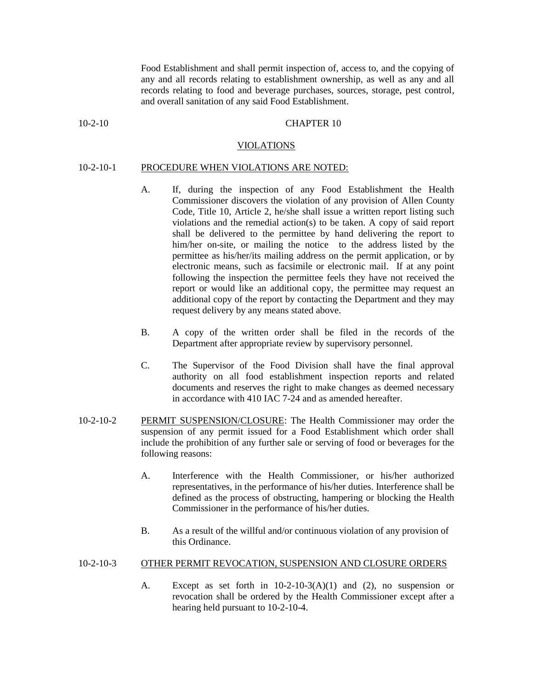Food Establishment and shall permit inspection of, access to, and the copying of any and all records relating to establishment ownership, as well as any and all records relating to food and beverage purchases, sources, storage, pest control, and overall sanitation of any said Food Establishment.

#### 10-2-10 CHAPTER 10

#### VIOLATIONS

# 10-2-10-1 PROCEDURE WHEN VIOLATIONS ARE NOTED:

- A. If, during the inspection of any Food Establishment the Health Commissioner discovers the violation of any provision of Allen County Code, Title 10, Article 2, he/she shall issue a written report listing such violations and the remedial action(s) to be taken. A copy of said report shall be delivered to the permittee by hand delivering the report to him/her on-site, or mailing the notice to the address listed by the permittee as his/her/its mailing address on the permit application, or by electronic means, such as facsimile or electronic mail. If at any point following the inspection the permittee feels they have not received the report or would like an additional copy, the permittee may request an additional copy of the report by contacting the Department and they may request delivery by any means stated above.
- B. A copy of the written order shall be filed in the records of the Department after appropriate review by supervisory personnel.
- C. The Supervisor of the Food Division shall have the final approval authority on all food establishment inspection reports and related documents and reserves the right to make changes as deemed necessary in accordance with 410 IAC 7-24 and as amended hereafter.
- 10-2-10-2 PERMIT SUSPENSION/CLOSURE: The Health Commissioner may order the suspension of any permit issued for a Food Establishment which order shall include the prohibition of any further sale or serving of food or beverages for the following reasons:
	- A. Interference with the Health Commissioner, or his/her authorized representatives, in the performance of his/her duties. Interference shall be defined as the process of obstructing, hampering or blocking the Health Commissioner in the performance of his/her duties.
	- B. As a result of the willful and/or continuous violation of any provision of this Ordinance.

## 10-2-10-3 OTHER PERMIT REVOCATION, SUSPENSION AND CLOSURE ORDERS

A. Except as set forth in  $10-2-10-3(A)(1)$  and (2), no suspension or revocation shall be ordered by the Health Commissioner except after a hearing held pursuant to 10-2-10-4.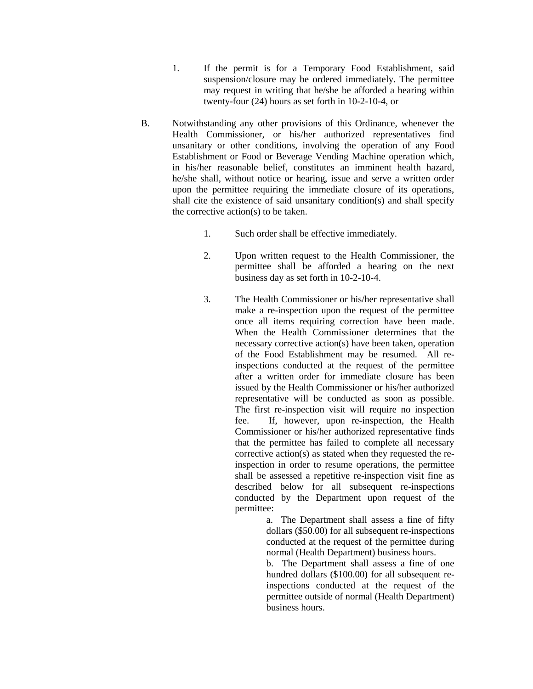- 1. If the permit is for a Temporary Food Establishment, said suspension/closure may be ordered immediately. The permittee may request in writing that he/she be afforded a hearing within twenty-four (24) hours as set forth in 10-2-10-4, or
- B. Notwithstanding any other provisions of this Ordinance, whenever the Health Commissioner, or his/her authorized representatives find unsanitary or other conditions, involving the operation of any Food Establishment or Food or Beverage Vending Machine operation which, in his/her reasonable belief, constitutes an imminent health hazard, he/she shall, without notice or hearing, issue and serve a written order upon the permittee requiring the immediate closure of its operations, shall cite the existence of said unsanitary condition(s) and shall specify the corrective action(s) to be taken.
	- 1. Such order shall be effective immediately.
	- 2. Upon written request to the Health Commissioner, the permittee shall be afforded a hearing on the next business day as set forth in 10-2-10-4.
	- 3. The Health Commissioner or his/her representative shall make a re-inspection upon the request of the permittee once all items requiring correction have been made. When the Health Commissioner determines that the necessary corrective action(s) have been taken, operation of the Food Establishment may be resumed. All reinspections conducted at the request of the permittee after a written order for immediate closure has been issued by the Health Commissioner or his/her authorized representative will be conducted as soon as possible. The first re-inspection visit will require no inspection fee. If, however, upon re-inspection, the Health Commissioner or his/her authorized representative finds that the permittee has failed to complete all necessary corrective action(s) as stated when they requested the reinspection in order to resume operations, the permittee shall be assessed a repetitive re-inspection visit fine as described below for all subsequent re-inspections conducted by the Department upon request of the permittee:

a. The Department shall assess a fine of fifty dollars (\$50.00) for all subsequent re-inspections conducted at the request of the permittee during normal (Health Department) business hours.

b. The Department shall assess a fine of one hundred dollars (\$100.00) for all subsequent reinspections conducted at the request of the permittee outside of normal (Health Department) business hours.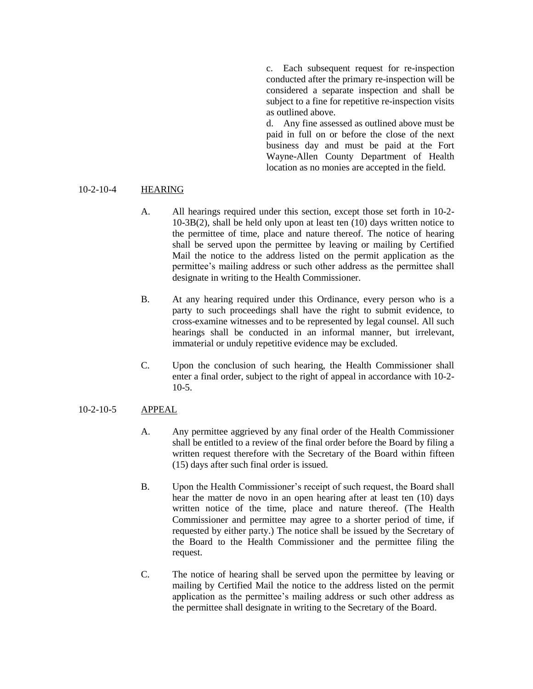c. Each subsequent request for re-inspection conducted after the primary re-inspection will be considered a separate inspection and shall be subject to a fine for repetitive re-inspection visits as outlined above.

d. Any fine assessed as outlined above must be paid in full on or before the close of the next business day and must be paid at the Fort Wayne-Allen County Department of Health location as no monies are accepted in the field.

# 10-2-10-4 HEARING

- A. All hearings required under this section, except those set forth in 10-2- 10-3B(2), shall be held only upon at least ten (10) days written notice to the permittee of time, place and nature thereof. The notice of hearing shall be served upon the permittee by leaving or mailing by Certified Mail the notice to the address listed on the permit application as the permittee's mailing address or such other address as the permittee shall designate in writing to the Health Commissioner.
- B. At any hearing required under this Ordinance, every person who is a party to such proceedings shall have the right to submit evidence, to cross-examine witnesses and to be represented by legal counsel. All such hearings shall be conducted in an informal manner, but irrelevant, immaterial or unduly repetitive evidence may be excluded.
- C. Upon the conclusion of such hearing, the Health Commissioner shall enter a final order, subject to the right of appeal in accordance with 10-2- 10-5.

# 10-2-10-5 APPEAL

- A. Any permittee aggrieved by any final order of the Health Commissioner shall be entitled to a review of the final order before the Board by filing a written request therefore with the Secretary of the Board within fifteen (15) days after such final order is issued.
- B. Upon the Health Commissioner's receipt of such request, the Board shall hear the matter de novo in an open hearing after at least ten (10) days written notice of the time, place and nature thereof. (The Health Commissioner and permittee may agree to a shorter period of time, if requested by either party.) The notice shall be issued by the Secretary of the Board to the Health Commissioner and the permittee filing the request.
- C. The notice of hearing shall be served upon the permittee by leaving or mailing by Certified Mail the notice to the address listed on the permit application as the permittee's mailing address or such other address as the permittee shall designate in writing to the Secretary of the Board.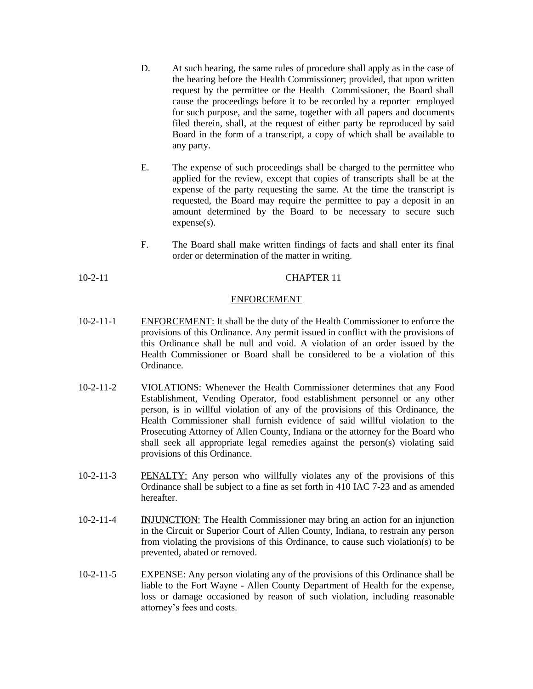- D. At such hearing, the same rules of procedure shall apply as in the case of the hearing before the Health Commissioner; provided, that upon written request by the permittee or the Health Commissioner, the Board shall cause the proceedings before it to be recorded by a reporter employed for such purpose, and the same, together with all papers and documents filed therein, shall, at the request of either party be reproduced by said Board in the form of a transcript, a copy of which shall be available to any party.
- E. The expense of such proceedings shall be charged to the permittee who applied for the review, except that copies of transcripts shall be at the expense of the party requesting the same. At the time the transcript is requested, the Board may require the permittee to pay a deposit in an amount determined by the Board to be necessary to secure such expense(s).
- F. The Board shall make written findings of facts and shall enter its final order or determination of the matter in writing.

# 10-2-11 CHAPTER 11

## ENFORCEMENT

- 10-2-11-1 ENFORCEMENT: It shall be the duty of the Health Commissioner to enforce the provisions of this Ordinance. Any permit issued in conflict with the provisions of this Ordinance shall be null and void. A violation of an order issued by the Health Commissioner or Board shall be considered to be a violation of this Ordinance.
- 10-2-11-2 VIOLATIONS: Whenever the Health Commissioner determines that any Food Establishment, Vending Operator, food establishment personnel or any other person, is in willful violation of any of the provisions of this Ordinance, the Health Commissioner shall furnish evidence of said willful violation to the Prosecuting Attorney of Allen County, Indiana or the attorney for the Board who shall seek all appropriate legal remedies against the person(s) violating said provisions of this Ordinance.
- 10-2-11-3 PENALTY: Any person who willfully violates any of the provisions of this Ordinance shall be subject to a fine as set forth in 410 IAC 7-23 and as amended hereafter.
- 10-2-11-4 INJUNCTION: The Health Commissioner may bring an action for an injunction in the Circuit or Superior Court of Allen County, Indiana, to restrain any person from violating the provisions of this Ordinance, to cause such violation(s) to be prevented, abated or removed.
- 10-2-11-5 EXPENSE: Any person violating any of the provisions of this Ordinance shall be liable to the Fort Wayne - Allen County Department of Health for the expense, loss or damage occasioned by reason of such violation, including reasonable attorney's fees and costs.